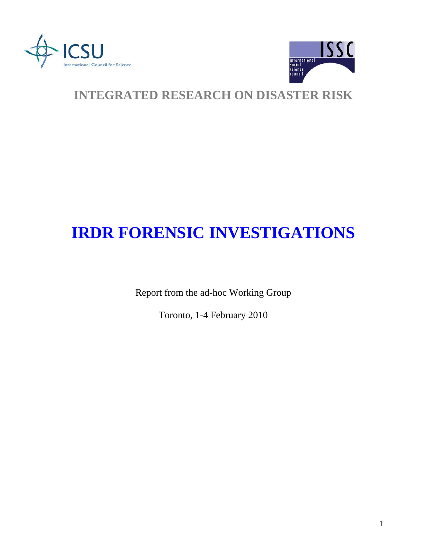



## **INTEGRATED RESEARCH ON DISASTER RISK**

# **IRDR FORENSIC INVESTIGATIONS**

Report from the ad-hoc Working Group

Toronto, 1-4 February 2010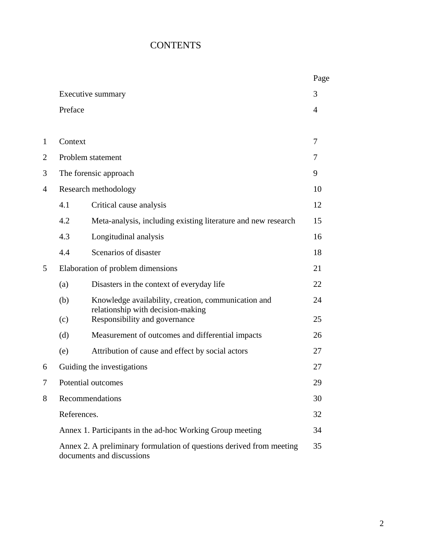### **CONTENTS**

|                |                                                                                                   |                                                                                          | Page |
|----------------|---------------------------------------------------------------------------------------------------|------------------------------------------------------------------------------------------|------|
|                | Executive summary                                                                                 |                                                                                          | 3    |
|                | Preface                                                                                           |                                                                                          | 4    |
|                |                                                                                                   |                                                                                          |      |
| 1              | Context                                                                                           |                                                                                          | 7    |
| $\overline{2}$ | Problem statement                                                                                 |                                                                                          | 7    |
| 3              | The forensic approach                                                                             |                                                                                          | 9    |
| 4              | Research methodology                                                                              |                                                                                          | 10   |
|                | 4.1                                                                                               | Critical cause analysis                                                                  | 12   |
|                | 4.2                                                                                               | Meta-analysis, including existing literature and new research                            | 15   |
|                | 4.3                                                                                               | Longitudinal analysis                                                                    | 16   |
|                | 4.4                                                                                               | Scenarios of disaster                                                                    | 18   |
| 5              | Elaboration of problem dimensions                                                                 |                                                                                          | 21   |
|                | (a)                                                                                               | Disasters in the context of everyday life                                                | 22   |
|                | (b)                                                                                               | Knowledge availability, creation, communication and<br>relationship with decision-making | 24   |
|                | (c)                                                                                               | Responsibility and governance                                                            | 25   |
|                | (d)                                                                                               | Measurement of outcomes and differential impacts                                         | 26   |
|                | (e)                                                                                               | Attribution of cause and effect by social actors                                         | 27   |
| 6              | Guiding the investigations                                                                        |                                                                                          | 27   |
| 7              | Potential outcomes                                                                                |                                                                                          | 29   |
| 8              | Recommendations                                                                                   |                                                                                          | 30   |
|                | References.                                                                                       |                                                                                          | 32   |
|                | Annex 1. Participants in the ad-hoc Working Group meeting                                         |                                                                                          | 34   |
|                | Annex 2. A preliminary formulation of questions derived from meeting<br>documents and discussions |                                                                                          | 35   |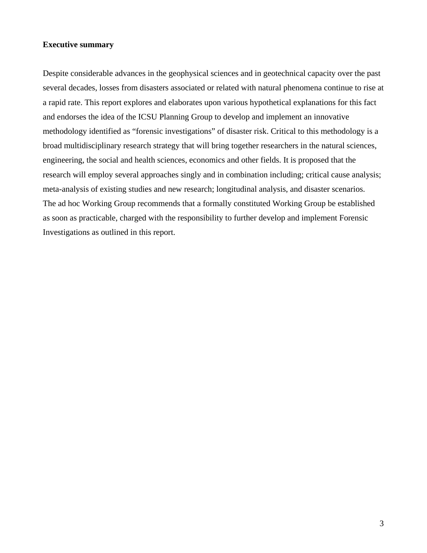#### **Executive summary**

Despite considerable advances in the geophysical sciences and in geotechnical capacity over the past several decades, losses from disasters associated or related with natural phenomena continue to rise at a rapid rate. This report explores and elaborates upon various hypothetical explanations for this fact and endorses the idea of the ICSU Planning Group to develop and implement an innovative methodology identified as "forensic investigations" of disaster risk. Critical to this methodology is a broad multidisciplinary research strategy that will bring together researchers in the natural sciences, engineering, the social and health sciences, economics and other fields. It is proposed that the research will employ several approaches singly and in combination including; critical cause analysis; meta-analysis of existing studies and new research; longitudinal analysis, and disaster scenarios. The ad hoc Working Group recommends that a formally constituted Working Group be established as soon as practicable, charged with the responsibility to further develop and implement Forensic Investigations as outlined in this report.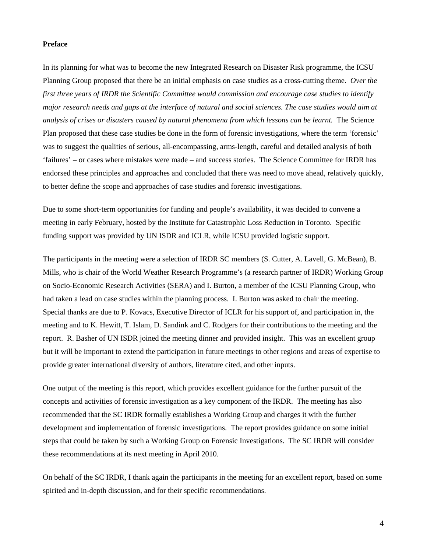#### **Preface**

In its planning for what was to become the new Integrated Research on Disaster Risk programme, the ICSU Planning Group proposed that there be an initial emphasis on case studies as a cross-cutting theme. *Over the first three years of IRDR the Scientific Committee would commission and encourage case studies to identify major research needs and gaps at the interface of natural and social sciences. The case studies would aim at analysis of crises or disasters caused by natural phenomena from which lessons can be learnt.* The Science Plan proposed that these case studies be done in the form of forensic investigations, where the term 'forensic' was to suggest the qualities of serious, all-encompassing, arms-length, careful and detailed analysis of both 'failures' – or cases where mistakes were made – and success stories. The Science Committee for IRDR has endorsed these principles and approaches and concluded that there was need to move ahead, relatively quickly, to better define the scope and approaches of case studies and forensic investigations.

Due to some short-term opportunities for funding and people's availability, it was decided to convene a meeting in early February, hosted by the Institute for Catastrophic Loss Reduction in Toronto. Specific funding support was provided by UN ISDR and ICLR, while ICSU provided logistic support.

The participants in the meeting were a selection of IRDR SC members (S. Cutter, A. Lavell, G. McBean), B. Mills, who is chair of the World Weather Research Programme's (a research partner of IRDR) Working Group on Socio-Economic Research Activities (SERA) and I. Burton, a member of the ICSU Planning Group, who had taken a lead on case studies within the planning process. I. Burton was asked to chair the meeting. Special thanks are due to P. Kovacs, Executive Director of ICLR for his support of, and participation in, the meeting and to K. Hewitt, T. Islam, D. Sandink and C. Rodgers for their contributions to the meeting and the report. R. Basher of UN ISDR joined the meeting dinner and provided insight. This was an excellent group but it will be important to extend the participation in future meetings to other regions and areas of expertise to provide greater international diversity of authors, literature cited, and other inputs.

One output of the meeting is this report, which provides excellent guidance for the further pursuit of the concepts and activities of forensic investigation as a key component of the IRDR. The meeting has also recommended that the SC IRDR formally establishes a Working Group and charges it with the further development and implementation of forensic investigations. The report provides guidance on some initial steps that could be taken by such a Working Group on Forensic Investigations. The SC IRDR will consider these recommendations at its next meeting in April 2010.

On behalf of the SC IRDR, I thank again the participants in the meeting for an excellent report, based on some spirited and in-depth discussion, and for their specific recommendations.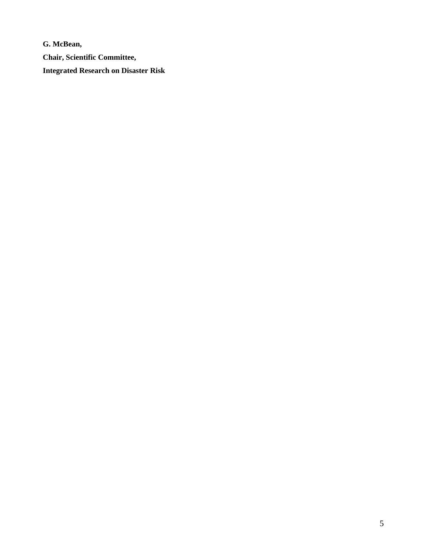**G. McBean, Chair, Scientific Committee, Integrated Research on Disaster Risk**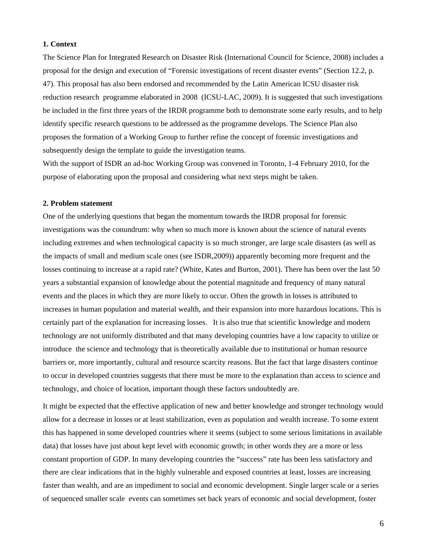#### **1. Context**

The Science Plan for Integrated Research on Disaster Risk (International Council for Science, 2008) includes a proposal for the design and execution of "Forensic investigations of recent disaster events" (Section 12.2, p. 47). This proposal has also been endorsed and recommended by the Latin American ICSU disaster risk reduction research programme elaborated in 2008 (ICSU-LAC, 2009). It is suggested that such investigations be included in the first three years of the IRDR programme both to demonstrate some early results, and to help identify specific research questions to be addressed as the programme develops. The Science Plan also proposes the formation of a Working Group to further refine the concept of forensic investigations and subsequently design the template to guide the investigation teams.

With the support of ISDR an ad-hoc Working Group was convened in Toronto, 1-4 February 2010, for the purpose of elaborating upon the proposal and considering what next steps might be taken.

#### **2. Problem statement**

One of the underlying questions that began the momentum towards the IRDR proposal for forensic investigations was the conundrum: why when so much more is known about the science of natural events including extremes and when technological capacity is so much stronger, are large scale disasters (as well as the impacts of small and medium scale ones (see ISDR,2009)) apparently becoming more frequent and the losses continuing to increase at a rapid rate? (White, Kates and Burton, 2001). There has been over the last 50 years a substantial expansion of knowledge about the potential magnitude and frequency of many natural events and the places in which they are more likely to occur. Often the growth in losses is attributed to increases in human population and material wealth, and their expansion into more hazardous locations. This is certainly part of the explanation for increasing losses. It is also true that scientific knowledge and modern technology are not uniformly distributed and that many developing countries have a low capacity to utilize or introduce the science and technology that is theoretically available due to institutional or human resource barriers or, more importantly, cultural and resource scarcity reasons. But the fact that large disasters continue to occur in developed countries suggests that there must be more to the explanation than access to science and technology, and choice of location, important though these factors undoubtedly are.

It might be expected that the effective application of new and better knowledge and stronger technology would allow for a decrease in losses or at least stabilization, even as population and wealth increase. To some extent this has happened in some developed countries where it seems (subject to some serious limitations in available data) that losses have just about kept level with economic growth; in other words they are a more or less constant proportion of GDP. In many developing countries the "success" rate has been less satisfactory and there are clear indications that in the highly vulnerable and exposed countries at least, losses are increasing faster than wealth, and are an impediment to social and economic development. Single larger scale or a series of sequenced smaller scale events can sometimes set back years of economic and social development, foster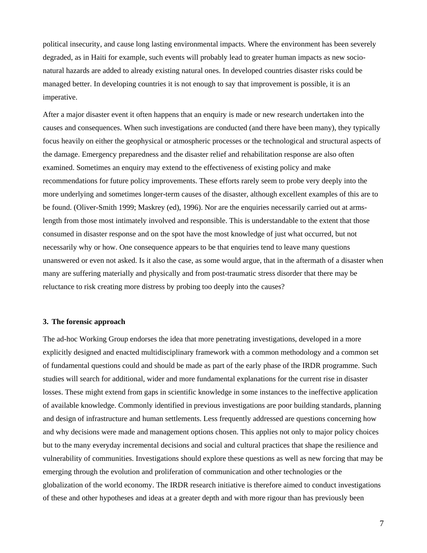political insecurity, and cause long lasting environmental impacts. Where the environment has been severely degraded, as in Haiti for example, such events will probably lead to greater human impacts as new socionatural hazards are added to already existing natural ones. In developed countries disaster risks could be managed better. In developing countries it is not enough to say that improvement is possible, it is an imperative.

After a major disaster event it often happens that an enquiry is made or new research undertaken into the causes and consequences. When such investigations are conducted (and there have been many), they typically focus heavily on either the geophysical or atmospheric processes or the technological and structural aspects of the damage. Emergency preparedness and the disaster relief and rehabilitation response are also often examined. Sometimes an enquiry may extend to the effectiveness of existing policy and make recommendations for future policy improvements. These efforts rarely seem to probe very deeply into the more underlying and sometimes longer-term causes of the disaster, although excellent examples of this are to be found. (Oliver-Smith 1999; Maskrey (ed), 1996). Nor are the enquiries necessarily carried out at armslength from those most intimately involved and responsible. This is understandable to the extent that those consumed in disaster response and on the spot have the most knowledge of just what occurred, but not necessarily why or how. One consequence appears to be that enquiries tend to leave many questions unanswered or even not asked. Is it also the case, as some would argue, that in the aftermath of a disaster when many are suffering materially and physically and from post-traumatic stress disorder that there may be reluctance to risk creating more distress by probing too deeply into the causes?

#### **3. The forensic approach**

The ad-hoc Working Group endorses the idea that more penetrating investigations, developed in a more explicitly designed and enacted multidisciplinary framework with a common methodology and a common set of fundamental questions could and should be made as part of the early phase of the IRDR programme. Such studies will search for additional, wider and more fundamental explanations for the current rise in disaster losses. These might extend from gaps in scientific knowledge in some instances to the ineffective application of available knowledge. Commonly identified in previous investigations are poor building standards, planning and design of infrastructure and human settlements. Less frequently addressed are questions concerning how and why decisions were made and management options chosen. This applies not only to major policy choices but to the many everyday incremental decisions and social and cultural practices that shape the resilience and vulnerability of communities. Investigations should explore these questions as well as new forcing that may be emerging through the evolution and proliferation of communication and other technologies or the globalization of the world economy. The IRDR research initiative is therefore aimed to conduct investigations of these and other hypotheses and ideas at a greater depth and with more rigour than has previously been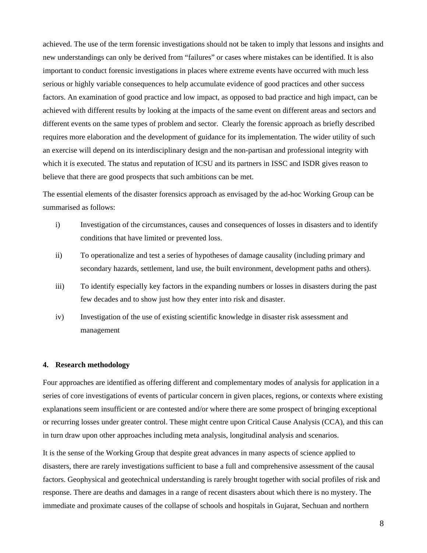achieved. The use of the term forensic investigations should not be taken to imply that lessons and insights and new understandings can only be derived from "failures" or cases where mistakes can be identified. It is also important to conduct forensic investigations in places where extreme events have occurred with much less serious or highly variable consequences to help accumulate evidence of good practices and other success factors. An examination of good practice and low impact, as opposed to bad practice and high impact, can be achieved with different results by looking at the impacts of the same event on different areas and sectors and different events on the same types of problem and sector. Clearly the forensic approach as briefly described requires more elaboration and the development of guidance for its implementation. The wider utility of such an exercise will depend on its interdisciplinary design and the non-partisan and professional integrity with which it is executed. The status and reputation of ICSU and its partners in ISSC and ISDR gives reason to believe that there are good prospects that such ambitions can be met.

The essential elements of the disaster forensics approach as envisaged by the ad-hoc Working Group can be summarised as follows:

- i) Investigation of the circumstances, causes and consequences of losses in disasters and to identify conditions that have limited or prevented loss.
- ii) To operationalize and test a series of hypotheses of damage causality (including primary and secondary hazards, settlement, land use, the built environment, development paths and others).
- iii) To identify especially key factors in the expanding numbers or losses in disasters during the past few decades and to show just how they enter into risk and disaster.
- iv) Investigation of the use of existing scientific knowledge in disaster risk assessment and management

#### **4. Research methodology**

Four approaches are identified as offering different and complementary modes of analysis for application in a series of core investigations of events of particular concern in given places, regions, or contexts where existing explanations seem insufficient or are contested and/or where there are some prospect of bringing exceptional or recurring losses under greater control. These might centre upon Critical Cause Analysis (CCA), and this can in turn draw upon other approaches including meta analysis, longitudinal analysis and scenarios.

It is the sense of the Working Group that despite great advances in many aspects of science applied to disasters, there are rarely investigations sufficient to base a full and comprehensive assessment of the causal factors. Geophysical and geotechnical understanding is rarely brought together with social profiles of risk and response. There are deaths and damages in a range of recent disasters about which there is no mystery. The immediate and proximate causes of the collapse of schools and hospitals in Gujarat, Sechuan and northern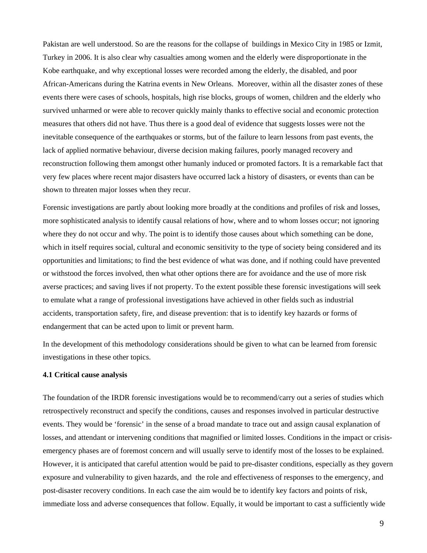Pakistan are well understood. So are the reasons for the collapse of buildings in Mexico City in 1985 or Izmit, Turkey in 2006. It is also clear why casualties among women and the elderly were disproportionate in the Kobe earthquake, and why exceptional losses were recorded among the elderly, the disabled, and poor African-Americans during the Katrina events in New Orleans. Moreover, within all the disaster zones of these events there were cases of schools, hospitals, high rise blocks, groups of women, children and the elderly who survived unharmed or were able to recover quickly mainly thanks to effective social and economic protection measures that others did not have. Thus there is a good deal of evidence that suggests losses were not the inevitable consequence of the earthquakes or storms, but of the failure to learn lessons from past events, the lack of applied normative behaviour, diverse decision making failures, poorly managed recovery and reconstruction following them amongst other humanly induced or promoted factors. It is a remarkable fact that very few places where recent major disasters have occurred lack a history of disasters, or events than can be shown to threaten major losses when they recur.

Forensic investigations are partly about looking more broadly at the conditions and profiles of risk and losses, more sophisticated analysis to identify causal relations of how, where and to whom losses occur; not ignoring where they do not occur and why. The point is to identify those causes about which something can be done, which in itself requires social, cultural and economic sensitivity to the type of society being considered and its opportunities and limitations; to find the best evidence of what was done, and if nothing could have prevented or withstood the forces involved, then what other options there are for avoidance and the use of more risk averse practices; and saving lives if not property. To the extent possible these forensic investigations will seek to emulate what a range of professional investigations have achieved in other fields such as industrial accidents, transportation safety, fire, and disease prevention: that is to identify key hazards or forms of endangerment that can be acted upon to limit or prevent harm.

In the development of this methodology considerations should be given to what can be learned from forensic investigations in these other topics.

#### **4.1 Critical cause analysis**

The foundation of the IRDR forensic investigations would be to recommend/carry out a series of studies which retrospectively reconstruct and specify the conditions, causes and responses involved in particular destructive events. They would be 'forensic' in the sense of a broad mandate to trace out and assign causal explanation of losses, and attendant or intervening conditions that magnified or limited losses. Conditions in the impact or crisisemergency phases are of foremost concern and will usually serve to identify most of the losses to be explained. However, it is anticipated that careful attention would be paid to pre-disaster conditions, especially as they govern exposure and vulnerability to given hazards, and the role and effectiveness of responses to the emergency, and post-disaster recovery conditions. In each case the aim would be to identify key factors and points of risk, immediate loss and adverse consequences that follow. Equally, it would be important to cast a sufficiently wide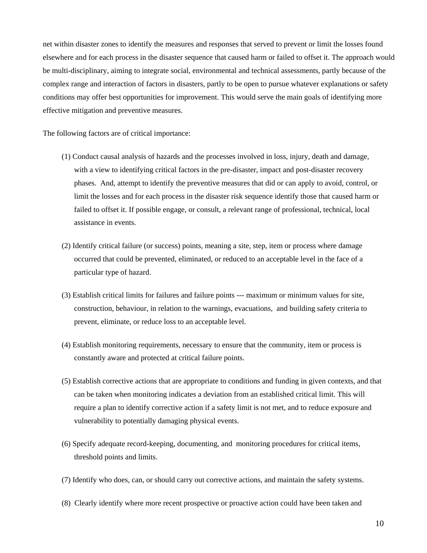net within disaster zones to identify the measures and responses that served to prevent or limit the losses found elsewhere and for each process in the disaster sequence that caused harm or failed to offset it. The approach would be multi-disciplinary, aiming to integrate social, environmental and technical assessments, partly because of the complex range and interaction of factors in disasters, partly to be open to pursue whatever explanations or safety conditions may offer best opportunities for improvement. This would serve the main goals of identifying more effective mitigation and preventive measures.

The following factors are of critical importance:

- (1) Conduct causal analysis of hazards and the processes involved in loss, injury, death and damage, with a view to identifying critical factors in the pre-disaster, impact and post-disaster recovery phases. And, attempt to identify the preventive measures that did or can apply to avoid, control, or limit the losses and for each process in the disaster risk sequence identify those that caused harm or failed to offset it. If possible engage, or consult, a relevant range of professional, technical, local assistance in events.
- (2) Identify critical failure (or success) points, meaning a site, step, item or process where damage occurred that could be prevented, eliminated, or reduced to an acceptable level in the face of a particular type of hazard.
- (3) Establish critical limits for failures and failure points --- maximum or minimum values for site, construction, behaviour, in relation to the warnings, evacuations, and building safety criteria to prevent, eliminate, or reduce loss to an acceptable level.
- (4) Establish monitoring requirements, necessary to ensure that the community, item or process is constantly aware and protected at critical failure points.
- (5) Establish corrective actions that are appropriate to conditions and funding in given contexts, and that can be taken when monitoring indicates a deviation from an established critical limit. This will require a plan to identify corrective action if a safety limit is not met, and to reduce exposure and vulnerability to potentially damaging physical events.
- (6) Specify adequate record-keeping, documenting, and monitoring procedures for critical items, threshold points and limits.
- (7) Identify who does, can, or should carry out corrective actions, and maintain the safety systems.
- (8) Clearly identify where more recent prospective or proactive action could have been taken and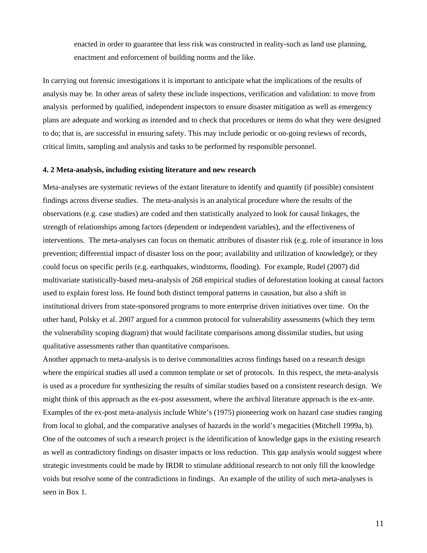enacted in order to guarantee that less risk was constructed in reality-such as land use planning, enactment and enforcement of building norms and the like.

In carrying out forensic investigations it is important to anticipate what the implications of the results of analysis may be. In other areas of safety these include inspections, verification and validation: to move from analysis performed by qualified, independent inspectors to ensure disaster mitigation as well as emergency plans are adequate and working as intended and to check that procedures or items do what they were designed to do; that is, are successful in ensuring safety. This may include periodic or on-going reviews of records, critical limits, sampling and analysis and tasks to be performed by responsible personnel.

#### **4. 2 Meta-analysis, including existing literature and new research**

Meta-analyses are systematic reviews of the extant literature to identify and quantify (if possible) consistent findings across diverse studies. The meta-analysis is an analytical procedure where the results of the observations (e.g. case studies) are coded and then statistically analyzed to look for causal linkages, the strength of relationships among factors (dependent or independent variables), and the effectiveness of interventions. The meta-analyses can focus on thematic attributes of disaster risk (e.g. role of insurance in loss prevention; differential impact of disaster loss on the poor; availability and utilization of knowledge); or they could focus on specific perils (e.g. earthquakes, windstorms, flooding). For example, Rudel (2007) did multivariate statistically-based meta-analysis of 268 empirical studies of deforestation looking at causal factors used to explain forest loss. He found both distinct temporal patterns in causation, but also a shift in institutional drivers from state-sponsored programs to more enterprise driven initiatives over time. On the other hand, Polsky et al. 2007 argued for a common protocol for vulnerability assessments (which they term the vulnerability scoping diagram) that would facilitate comparisons among dissimilar studies, but using qualitative assessments rather than quantitative comparisons.

Another approach to meta-analysis is to derive commonalities across findings based on a research design where the empirical studies all used a common template or set of protocols. In this respect, the meta-analysis is used as a procedure for synthesizing the results of similar studies based on a consistent research design. We might think of this approach as the ex-post assessment, where the archival literature approach is the ex-ante. Examples of the ex-post meta-analysis include White's (1975) pioneering work on hazard case studies ranging from local to global, and the comparative analyses of hazards in the world's megacities (Mitchell 1999a, b). One of the outcomes of such a research project is the identification of knowledge gaps in the existing research as well as contradictory findings on disaster impacts or loss reduction. This gap analysis would suggest where strategic investments could be made by IRDR to stimulate additional research to not only fill the knowledge voids but resolve some of the contradictions in findings. An example of the utility of such meta-analyses is seen in Box 1.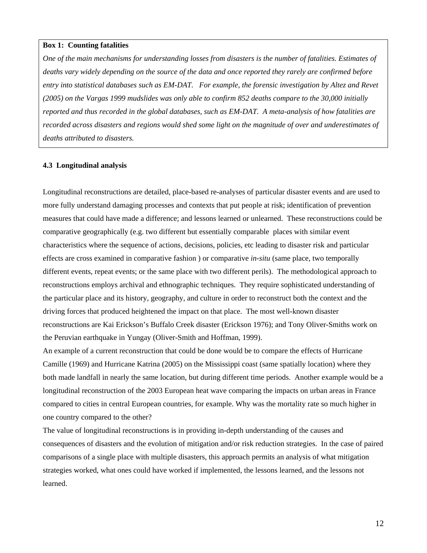#### **Box 1: Counting fatalities**

*One of the main mechanisms for understanding losses from disasters is the number of fatalities. Estimates of deaths vary widely depending on the source of the data and once reported they rarely are confirmed before entry into statistical databases such as EM-DAT. For example, the forensic investigation by Altez and Revet (2005) on the Vargas 1999 mudslides was only able to confirm 852 deaths compare to the 30,000 initially reported and thus recorded in the global databases, such as EM-DAT. A meta-analysis of how fatalities are recorded across disasters and regions would shed some light on the magnitude of over and underestimates of deaths attributed to disasters.* 

#### **4.3 Longitudinal analysis**

Longitudinal reconstructions are detailed, place-based re-analyses of particular disaster events and are used to more fully understand damaging processes and contexts that put people at risk; identification of prevention measures that could have made a difference; and lessons learned or unlearned. These reconstructions could be comparative geographically (e.g. two different but essentially comparable places with similar event characteristics where the sequence of actions, decisions, policies, etc leading to disaster risk and particular effects are cross examined in comparative fashion ) or comparative *in-situ* (same place, two temporally different events, repeat events; or the same place with two different perils). The methodological approach to reconstructions employs archival and ethnographic techniques. They require sophisticated understanding of the particular place and its history, geography, and culture in order to reconstruct both the context and the driving forces that produced heightened the impact on that place. The most well-known disaster reconstructions are Kai Erickson's Buffalo Creek disaster (Erickson 1976); and Tony Oliver-Smiths work on the Peruvian earthquake in Yungay (Oliver-Smith and Hoffman, 1999).

An example of a current reconstruction that could be done would be to compare the effects of Hurricane Camille (1969) and Hurricane Katrina (2005) on the Mississippi coast (same spatially location) where they both made landfall in nearly the same location, but during different time periods. Another example would be a longitudinal reconstruction of the 2003 European heat wave comparing the impacts on urban areas in France compared to cities in central European countries, for example. Why was the mortality rate so much higher in one country compared to the other?

The value of longitudinal reconstructions is in providing in-depth understanding of the causes and consequences of disasters and the evolution of mitigation and/or risk reduction strategies. In the case of paired comparisons of a single place with multiple disasters, this approach permits an analysis of what mitigation strategies worked, what ones could have worked if implemented, the lessons learned, and the lessons not learned.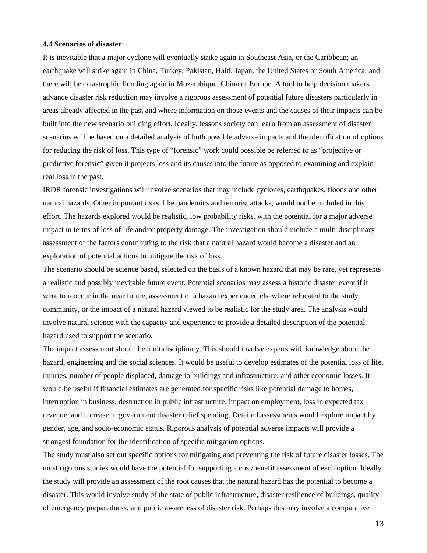#### **4.4 Scenarios of disaster**

It is inevitable that a major cyclone will eventually strike again in Southeast Asia, or the Caribbean; an earthquake will strike again in China, Turkey, Pakistan, Haiti, Japan, the United States or South America; and there will be catastrophic flooding again in Mozambique, China or Europe. A tool to help decision makers advance disaster risk reduction may involve a rigorous assessment of potential future disasters particularly in areas already affected in the past and where information on those events and the causes of their impacts can be built into the new scenario building effort. Ideally, lessons society can learn from an assessment of disaster scenarios will be based on a detailed analysis of both possible adverse impacts and the identification of options for reducing the risk of loss. This type of "forensic" work could possible be referred to as "projective or predictive forensic" given it projects loss and its causes into the future as opposed to examining and explain real loss in the past.

IRDR forensic investigations will involve scenarios that may include cyclones, earthquakes, floods and other natural hazards. Other important risks, like pandemics and terrorist attacks, would not be included in this effort. The hazards explored would be realistic, low probability risks, with the potential for a major adverse impact in terms of loss of life and/or property damage. The investigation should include a multi-disciplinary assessment of the factors contributing to the risk that a natural hazard would become a disaster and an exploration of potential actions to mitigate the risk of loss.

The scenario should be science based, selected on the basis of a known hazard that may be rare, yet represents a realistic and possibly inevitable future event. Potential scenarios may assess a historic disaster event if it were to reoccur in the near future, assessment of a hazard experienced elsewhere relocated to the study community, or the impact of a natural hazard viewed to be realistic for the study area. The analysis would involve natural science with the capacity and experience to provide a detailed description of the potential hazard used to support the scenario.

The impact assessment should be multidisciplinary. This should involve experts with knowledge about the hazard, engineering and the social sciences. It would be useful to develop estimates of the potential loss of life, injuries, number of people displaced, damage to buildings and infrastructure, and other economic losses. It would be useful if financial estimates are generated for specific risks like potential damage to homes, interruption in business, destruction in public infrastructure, impact on employment, loss in expected tax revenue, and increase in government disaster relief spending. Detailed assessments would explore impact by gender, age, and socio-economic status. Rigorous analysis of potential adverse impacts will provide a strongest foundation for the identification of specific mitigation options.

The study must also set out specific options for mitigating and preventing the risk of future disaster losses. The most rigorous studies would have the potential for supporting a cost/benefit assessment of each option. Ideally the study will provide an assessment of the root causes that the natural hazard has the potential to become a disaster. This would involve study of the state of public infrastructure, disaster resilience of buildings, quality of emergency preparedness, and public awareness of disaster risk. Perhaps this may involve a comparative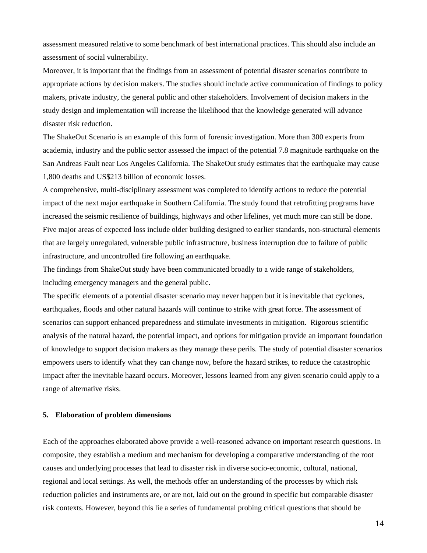assessment measured relative to some benchmark of best international practices. This should also include an assessment of social vulnerability.

Moreover, it is important that the findings from an assessment of potential disaster scenarios contribute to appropriate actions by decision makers. The studies should include active communication of findings to policy makers, private industry, the general public and other stakeholders. Involvement of decision makers in the study design and implementation will increase the likelihood that the knowledge generated will advance disaster risk reduction.

The ShakeOut Scenario is an example of this form of forensic investigation. More than 300 experts from academia, industry and the public sector assessed the impact of the potential 7.8 magnitude earthquake on the San Andreas Fault near Los Angeles California. The ShakeOut study estimates that the earthquake may cause 1,800 deaths and US\$213 billion of economic losses.

A comprehensive, multi-disciplinary assessment was completed to identify actions to reduce the potential impact of the next major earthquake in Southern California. The study found that retrofitting programs have increased the seismic resilience of buildings, highways and other lifelines, yet much more can still be done. Five major areas of expected loss include older building designed to earlier standards, non-structural elements that are largely unregulated, vulnerable public infrastructure, business interruption due to failure of public infrastructure, and uncontrolled fire following an earthquake.

The findings from ShakeOut study have been communicated broadly to a wide range of stakeholders, including emergency managers and the general public.

The specific elements of a potential disaster scenario may never happen but it is inevitable that cyclones, earthquakes, floods and other natural hazards will continue to strike with great force. The assessment of scenarios can support enhanced preparedness and stimulate investments in mitigation. Rigorous scientific analysis of the natural hazard, the potential impact, and options for mitigation provide an important foundation of knowledge to support decision makers as they manage these perils. The study of potential disaster scenarios empowers users to identify what they can change now, before the hazard strikes, to reduce the catastrophic impact after the inevitable hazard occurs. Moreover, lessons learned from any given scenario could apply to a range of alternative risks.

#### **5. Elaboration of problem dimensions**

Each of the approaches elaborated above provide a well-reasoned advance on important research questions. In composite, they establish a medium and mechanism for developing a comparative understanding of the root causes and underlying processes that lead to disaster risk in diverse socio-economic, cultural, national, regional and local settings. As well, the methods offer an understanding of the processes by which risk reduction policies and instruments are, or are not, laid out on the ground in specific but comparable disaster risk contexts. However, beyond this lie a series of fundamental probing critical questions that should be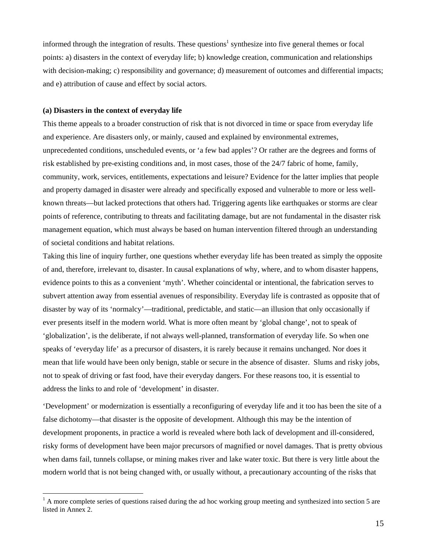informed through the integration of results. These questions<sup>1</sup> synthesize into five general themes or focal points: a) disasters in the context of everyday life; b) knowledge creation, communication and relationships with decision-making; c) responsibility and governance; d) measurement of outcomes and differential impacts; and e) attribution of cause and effect by social actors.

#### **(a) Disasters in the context of everyday life**

 $\overline{a}$ 

This theme appeals to a broader construction of risk that is not divorced in time or space from everyday life and experience. Are disasters only, or mainly, caused and explained by environmental extremes, unprecedented conditions, unscheduled events, or 'a few bad apples'? Or rather are the degrees and forms of risk established by pre-existing conditions and, in most cases, those of the 24/7 fabric of home, family, community, work, services, entitlements, expectations and leisure? Evidence for the latter implies that people and property damaged in disaster were already and specifically exposed and vulnerable to more or less wellknown threats—but lacked protections that others had. Triggering agents like earthquakes or storms are clear points of reference, contributing to threats and facilitating damage, but are not fundamental in the disaster risk management equation, which must always be based on human intervention filtered through an understanding of societal conditions and habitat relations.

Taking this line of inquiry further, one questions whether everyday life has been treated as simply the opposite of and, therefore, irrelevant to, disaster. In causal explanations of why, where, and to whom disaster happens, evidence points to this as a convenient 'myth'. Whether coincidental or intentional, the fabrication serves to subvert attention away from essential avenues of responsibility. Everyday life is contrasted as opposite that of disaster by way of its 'normalcy'—traditional, predictable, and static—an illusion that only occasionally if ever presents itself in the modern world. What is more often meant by 'global change', not to speak of 'globalization', is the deliberate, if not always well-planned, transformation of everyday life. So when one speaks of 'everyday life' as a precursor of disasters, it is rarely because it remains unchanged. Nor does it mean that life would have been only benign, stable or secure in the absence of disaster. Slums and risky jobs, not to speak of driving or fast food, have their everyday dangers. For these reasons too, it is essential to address the links to and role of 'development' in disaster.

'Development' or modernization is essentially a reconfiguring of everyday life and it too has been the site of a false dichotomy—that disaster is the opposite of development. Although this may be the intention of development proponents, in practice a world is revealed where both lack of development and ill-considered, risky forms of development have been major precursors of magnified or novel damages. That is pretty obvious when dams fail, tunnels collapse, or mining makes river and lake water toxic. But there is very little about the modern world that is not being changed with, or usually without, a precautionary accounting of the risks that

<sup>1</sup> A more complete series of questions raised during the ad hoc working group meeting and synthesized into section 5 are listed in Annex 2.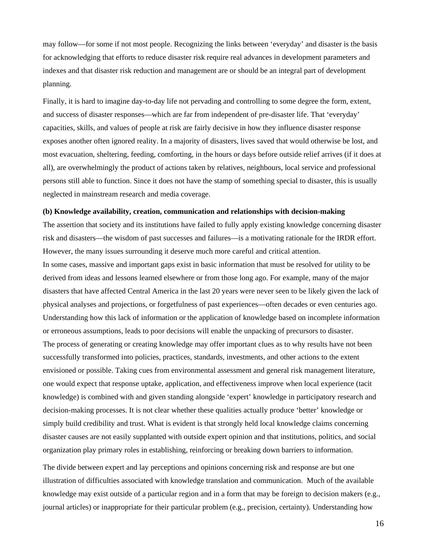may follow—for some if not most people. Recognizing the links between 'everyday' and disaster is the basis for acknowledging that efforts to reduce disaster risk require real advances in development parameters and indexes and that disaster risk reduction and management are or should be an integral part of development planning.

Finally, it is hard to imagine day-to-day life not pervading and controlling to some degree the form, extent, and success of disaster responses—which are far from independent of pre-disaster life. That 'everyday' capacities, skills, and values of people at risk are fairly decisive in how they influence disaster response exposes another often ignored reality. In a majority of disasters, lives saved that would otherwise be lost, and most evacuation, sheltering, feeding, comforting, in the hours or days before outside relief arrives (if it does at all), are overwhelmingly the product of actions taken by relatives, neighbours, local service and professional persons still able to function. Since it does not have the stamp of something special to disaster, this is usually neglected in mainstream research and media coverage.

#### **(b) Knowledge availability, creation, communication and relationships with decision-making**

The assertion that society and its institutions have failed to fully apply existing knowledge concerning disaster risk and disasters—the wisdom of past successes and failures—is a motivating rationale for the IRDR effort. However, the many issues surrounding it deserve much more careful and critical attention. In some cases, massive and important gaps exist in basic information that must be resolved for utility to be derived from ideas and lessons learned elsewhere or from those long ago. For example, many of the major disasters that have affected Central America in the last 20 years were never seen to be likely given the lack of physical analyses and projections, or forgetfulness of past experiences—often decades or even centuries ago. Understanding how this lack of information or the application of knowledge based on incomplete information or erroneous assumptions, leads to poor decisions will enable the unpacking of precursors to disaster. The process of generating or creating knowledge may offer important clues as to why results have not been successfully transformed into policies, practices, standards, investments, and other actions to the extent envisioned or possible. Taking cues from environmental assessment and general risk management literature, one would expect that response uptake, application, and effectiveness improve when local experience (tacit knowledge) is combined with and given standing alongside 'expert' knowledge in participatory research and decision-making processes. It is not clear whether these qualities actually produce 'better' knowledge or simply build credibility and trust. What is evident is that strongly held local knowledge claims concerning disaster causes are not easily supplanted with outside expert opinion and that institutions, politics, and social organization play primary roles in establishing, reinforcing or breaking down barriers to information.

The divide between expert and lay perceptions and opinions concerning risk and response are but one illustration of difficulties associated with knowledge translation and communication. Much of the available knowledge may exist outside of a particular region and in a form that may be foreign to decision makers (e.g., journal articles) or inappropriate for their particular problem (e.g., precision, certainty). Understanding how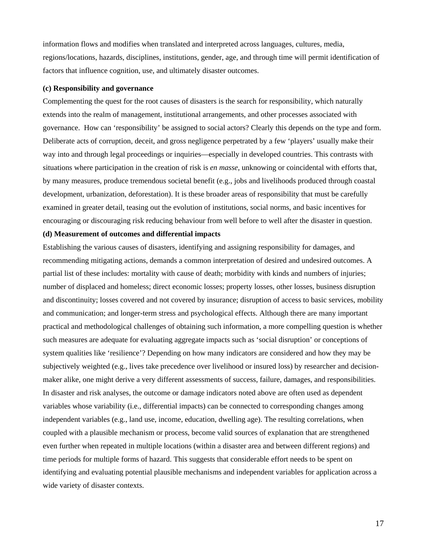information flows and modifies when translated and interpreted across languages, cultures, media, regions/locations, hazards, disciplines, institutions, gender, age, and through time will permit identification of factors that influence cognition, use, and ultimately disaster outcomes.

#### **(c) Responsibility and governance**

Complementing the quest for the root causes of disasters is the search for responsibility, which naturally extends into the realm of management, institutional arrangements, and other processes associated with governance. How can 'responsibility' be assigned to social actors? Clearly this depends on the type and form. Deliberate acts of corruption, deceit, and gross negligence perpetrated by a few 'players' usually make their way into and through legal proceedings or inquiries—especially in developed countries. This contrasts with situations where participation in the creation of risk is *en masse*, unknowing or coincidental with efforts that, by many measures, produce tremendous societal benefit (e.g., jobs and livelihoods produced through coastal development, urbanization, deforestation). It is these broader areas of responsibility that must be carefully examined in greater detail, teasing out the evolution of institutions, social norms, and basic incentives for encouraging or discouraging risk reducing behaviour from well before to well after the disaster in question.

#### **(d) Measurement of outcomes and differential impacts**

Establishing the various causes of disasters, identifying and assigning responsibility for damages, and recommending mitigating actions, demands a common interpretation of desired and undesired outcomes. A partial list of these includes: mortality with cause of death; morbidity with kinds and numbers of injuries; number of displaced and homeless; direct economic losses; property losses, other losses, business disruption and discontinuity; losses covered and not covered by insurance; disruption of access to basic services, mobility and communication; and longer-term stress and psychological effects. Although there are many important practical and methodological challenges of obtaining such information, a more compelling question is whether such measures are adequate for evaluating aggregate impacts such as 'social disruption' or conceptions of system qualities like 'resilience'? Depending on how many indicators are considered and how they may be subjectively weighted (e.g., lives take precedence over livelihood or insured loss) by researcher and decisionmaker alike, one might derive a very different assessments of success, failure, damages, and responsibilities. In disaster and risk analyses, the outcome or damage indicators noted above are often used as dependent variables whose variability (i.e., differential impacts) can be connected to corresponding changes among independent variables (e.g., land use, income, education, dwelling age). The resulting correlations, when coupled with a plausible mechanism or process, become valid sources of explanation that are strengthened even further when repeated in multiple locations (within a disaster area and between different regions) and time periods for multiple forms of hazard. This suggests that considerable effort needs to be spent on identifying and evaluating potential plausible mechanisms and independent variables for application across a wide variety of disaster contexts.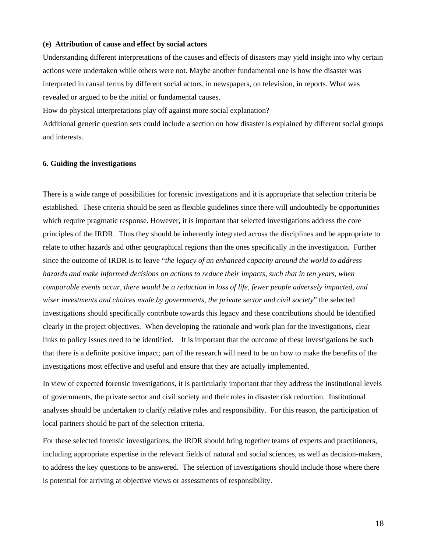#### **(e) Attribution of cause and effect by social actors**

Understanding different interpretations of the causes and effects of disasters may yield insight into why certain actions were undertaken while others were not. Maybe another fundamental one is how the disaster was interpreted in causal terms by different social actors, in newspapers, on television, in reports. What was revealed or argued to be the initial or fundamental causes.

How do physical interpretations play off against more social explanation?

Additional generic question sets could include a section on how disaster is explained by different social groups and interests.

#### **6. Guiding the investigations**

There is a wide range of possibilities for forensic investigations and it is appropriate that selection criteria be established. These criteria should be seen as flexible guidelines since there will undoubtedly be opportunities which require pragmatic response. However, it is important that selected investigations address the core principles of the IRDR. Thus they should be inherently integrated across the disciplines and be appropriate to relate to other hazards and other geographical regions than the ones specifically in the investigation. Further since the outcome of IRDR is to leave "*the legacy of an enhanced capacity around the world to address hazards and make informed decisions on actions to reduce their impacts, such that in ten years, when comparable events occur, there would be a reduction in loss of life, fewer people adversely impacted, and wiser investments and choices made by governments, the private sector and civil society*" the selected investigations should specifically contribute towards this legacy and these contributions should be identified clearly in the project objectives. When developing the rationale and work plan for the investigations, clear links to policy issues need to be identified. It is important that the outcome of these investigations be such that there is a definite positive impact; part of the research will need to be on how to make the benefits of the investigations most effective and useful and ensure that they are actually implemented.

In view of expected forensic investigations, it is particularly important that they address the institutional levels of governments, the private sector and civil society and their roles in disaster risk reduction. Institutional analyses should be undertaken to clarify relative roles and responsibility. For this reason, the participation of local partners should be part of the selection criteria.

For these selected forensic investigations, the IRDR should bring together teams of experts and practitioners, including appropriate expertise in the relevant fields of natural and social sciences, as well as decision-makers, to address the key questions to be answered. The selection of investigations should include those where there is potential for arriving at objective views or assessments of responsibility.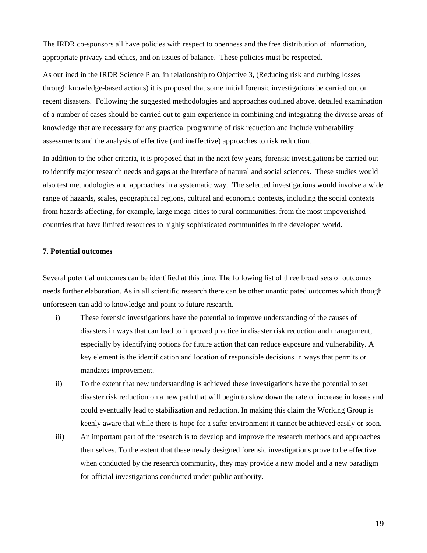The IRDR co-sponsors all have policies with respect to openness and the free distribution of information, appropriate privacy and ethics, and on issues of balance. These policies must be respected.

As outlined in the IRDR Science Plan, in relationship to Objective 3, (Reducing risk and curbing losses through knowledge-based actions) it is proposed that some initial forensic investigations be carried out on recent disasters. Following the suggested methodologies and approaches outlined above, detailed examination of a number of cases should be carried out to gain experience in combining and integrating the diverse areas of knowledge that are necessary for any practical programme of risk reduction and include vulnerability assessments and the analysis of effective (and ineffective) approaches to risk reduction.

In addition to the other criteria, it is proposed that in the next few years, forensic investigations be carried out to identify major research needs and gaps at the interface of natural and social sciences. These studies would also test methodologies and approaches in a systematic way. The selected investigations would involve a wide range of hazards, scales, geographical regions, cultural and economic contexts, including the social contexts from hazards affecting, for example, large mega-cities to rural communities, from the most impoverished countries that have limited resources to highly sophisticated communities in the developed world.

#### **7. Potential outcomes**

Several potential outcomes can be identified at this time. The following list of three broad sets of outcomes needs further elaboration. As in all scientific research there can be other unanticipated outcomes which though unforeseen can add to knowledge and point to future research.

- i) These forensic investigations have the potential to improve understanding of the causes of disasters in ways that can lead to improved practice in disaster risk reduction and management, especially by identifying options for future action that can reduce exposure and vulnerability. A key element is the identification and location of responsible decisions in ways that permits or mandates improvement.
- ii) To the extent that new understanding is achieved these investigations have the potential to set disaster risk reduction on a new path that will begin to slow down the rate of increase in losses and could eventually lead to stabilization and reduction. In making this claim the Working Group is keenly aware that while there is hope for a safer environment it cannot be achieved easily or soon.
- iii) An important part of the research is to develop and improve the research methods and approaches themselves. To the extent that these newly designed forensic investigations prove to be effective when conducted by the research community, they may provide a new model and a new paradigm for official investigations conducted under public authority.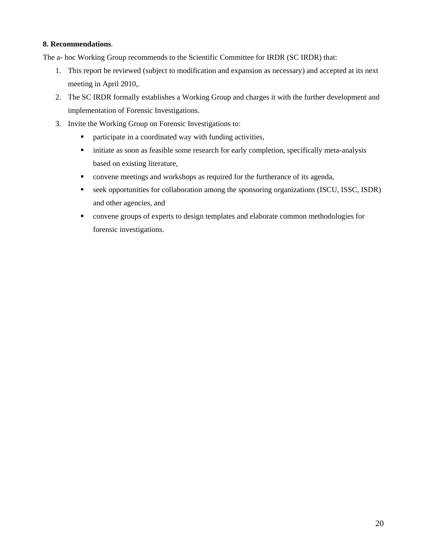#### **8. Recommendations**.

The a- hoc Working Group recommends to the Scientific Committee for IRDR (SC IRDR) that:

- 1. This report be reviewed (subject to modification and expansion as necessary) and accepted at its next meeting in April 2010,.
- 2. The SC IRDR formally establishes a Working Group and charges it with the further development and implementation of Forensic Investigations.
- 3. Invite the Working Group on Forensic Investigations to:
	- participate in a coordinated way with funding activities,
	- initiate as soon as feasible some research for early completion, specifically meta-analysis based on existing literature,
	- convene meetings and workshops as required for the furtherance of its agenda,
	- seek opportunities for collaboration among the sponsoring organizations (ISCU, ISSC, ISDR) and other agencies, and
	- convene groups of experts to design templates and elaborate common methodologies for forensic investigations.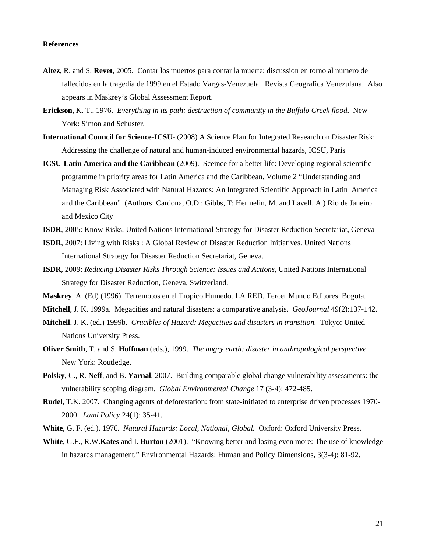#### **References**

- **Altez**, R. and S. **Revet**, 2005. Contar los muertos para contar la muerte: discussion en torno al numero de fallecidos en la tragedia de 1999 en el Estado Vargas-Venezuela. Revista Geografica Venezulana. Also appears in Maskrey's Global Assessment Report.
- **Erickson**, K. T., 1976. *Everything in its path: destruction of community in the Buffalo Creek flood*. New York: Simon and Schuster.
- **International Council for Science-ICSU** (2008) A Science Plan for Integrated Research on Disaster Risk: Addressing the challenge of natural and human-induced environmental hazards, ICSU, Paris
- **ICSU-Latin America and the Caribbean** (2009). Sceince for a better life: Developing regional scientific programme in priority areas for Latin America and the Caribbean. Volume 2 "Understanding and Managing Risk Associated with Natural Hazards: An Integrated Scientific Approach in Latin America and the Caribbean" (Authors: Cardona, O.D.; Gibbs, T; Hermelin, M. and Lavell, A.) Rio de Janeiro and Mexico City
- **ISDR**, 2005: Know Risks, United Nations International Strategy for Disaster Reduction Secretariat, Geneva
- **ISDR**, 2007: Living with Risks : A Global Review of Disaster Reduction Initiatives. United Nations International Strategy for Disaster Reduction Secretariat, Geneva.
- **ISDR**, 2009: *Reducing Disaster Risks Through Science: Issues and Actions*, United Nations International Strategy for Disaster Reduction, Geneva, Switzerland.
- **Maskrey**, A. (Ed) (1996) Terremotos en el Tropico Humedo. LA RED. Tercer Mundo Editores. Bogota.

**Mitchell**, J. K. 1999a. Megacities and natural disasters: a comparative analysis. *GeoJournal* 49(2):137-142.

- **Mitchell**, J. K. (ed.) 1999b. *Crucibles of Hazard: Megacities and disasters in transition.* Tokyo: United Nations University Press.
- **Oliver Smith**, T. and S. **Hoffman** (eds.), 1999. *The angry earth: disaster in anthropological perspective.* New York: Routledge.
- **Polsky**, C., R. **Neff**, and B. **Yarnal**, 2007. Building comparable global change vulnerability assessments: the vulnerability scoping diagram. *Global Environmental Change* 17 (3-4): 472-485.
- **Rudel**, T.K. 2007. Changing agents of deforestation: from state-initiated to enterprise driven processes 1970- 2000. *Land Policy* 24(1): 35-41.
- **White**, G. F. (ed.). 1976. *Natural Hazards: Local, National, Global.* Oxford: Oxford University Press.
- **White**, G.F., R.W.**Kates** and I. **Burton** (2001). "Knowing better and losing even more: The use of knowledge in hazards management." Environmental Hazards: Human and Policy Dimensions, 3(3-4): 81-92.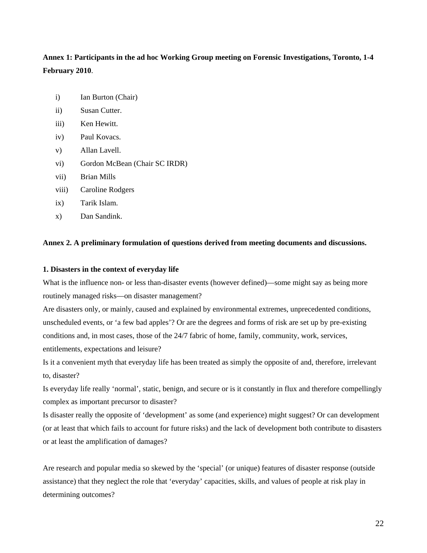**Annex 1: Participants in the ad hoc Working Group meeting on Forensic Investigations, Toronto, 1-4 February 2010**.

- i) Ian Burton (Chair)
- ii) Susan Cutter.
- iii) Ken Hewitt.
- iv) Paul Kovacs.
- v) Allan Lavell.
- vi) Gordon McBean (Chair SC IRDR)
- vii) Brian Mills
- viii) Caroline Rodgers
- ix) Tarik Islam.
- x) Dan Sandink.

#### **Annex 2. A preliminary formulation of questions derived from meeting documents and discussions.**

#### **1. Disasters in the context of everyday life**

What is the influence non- or less than-disaster events (however defined)—some might say as being more routinely managed risks—on disaster management?

Are disasters only, or mainly, caused and explained by environmental extremes, unprecedented conditions, unscheduled events, or 'a few bad apples'? Or are the degrees and forms of risk are set up by pre-existing conditions and, in most cases, those of the 24/7 fabric of home, family, community, work, services, entitlements, expectations and leisure?

Is it a convenient myth that everyday life has been treated as simply the opposite of and, therefore, irrelevant to, disaster?

Is everyday life really 'normal', static, benign, and secure or is it constantly in flux and therefore compellingly complex as important precursor to disaster?

Is disaster really the opposite of 'development' as some (and experience) might suggest? Or can development (or at least that which fails to account for future risks) and the lack of development both contribute to disasters or at least the amplification of damages?

Are research and popular media so skewed by the 'special' (or unique) features of disaster response (outside assistance) that they neglect the role that 'everyday' capacities, skills, and values of people at risk play in determining outcomes?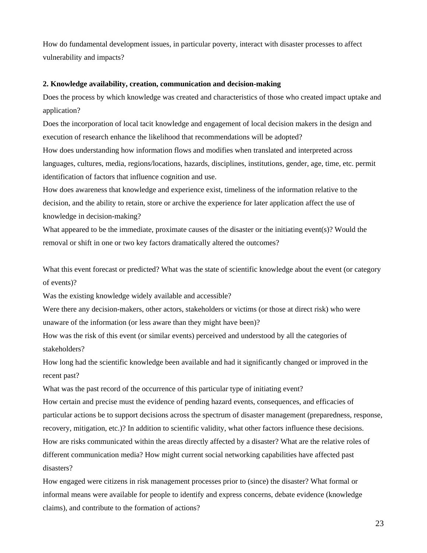How do fundamental development issues, in particular poverty, interact with disaster processes to affect vulnerability and impacts?

#### **2. Knowledge availability, creation, communication and decision-making**

Does the process by which knowledge was created and characteristics of those who created impact uptake and application?

Does the incorporation of local tacit knowledge and engagement of local decision makers in the design and execution of research enhance the likelihood that recommendations will be adopted?

How does understanding how information flows and modifies when translated and interpreted across languages, cultures, media, regions/locations, hazards, disciplines, institutions, gender, age, time, etc. permit identification of factors that influence cognition and use.

How does awareness that knowledge and experience exist, timeliness of the information relative to the decision, and the ability to retain, store or archive the experience for later application affect the use of knowledge in decision-making?

What appeared to be the immediate, proximate causes of the disaster or the initiating event(s)? Would the removal or shift in one or two key factors dramatically altered the outcomes?

What this event forecast or predicted? What was the state of scientific knowledge about the event (or category of events)?

Was the existing knowledge widely available and accessible?

Were there any decision-makers, other actors, stakeholders or victims (or those at direct risk) who were unaware of the information (or less aware than they might have been)?

How was the risk of this event (or similar events) perceived and understood by all the categories of stakeholders?

How long had the scientific knowledge been available and had it significantly changed or improved in the recent past?

What was the past record of the occurrence of this particular type of initiating event?

How certain and precise must the evidence of pending hazard events, consequences, and efficacies of particular actions be to support decisions across the spectrum of disaster management (preparedness, response, recovery, mitigation, etc.)? In addition to scientific validity, what other factors influence these decisions. How are risks communicated within the areas directly affected by a disaster? What are the relative roles of different communication media? How might current social networking capabilities have affected past disasters?

How engaged were citizens in risk management processes prior to (since) the disaster? What formal or informal means were available for people to identify and express concerns, debate evidence (knowledge claims), and contribute to the formation of actions?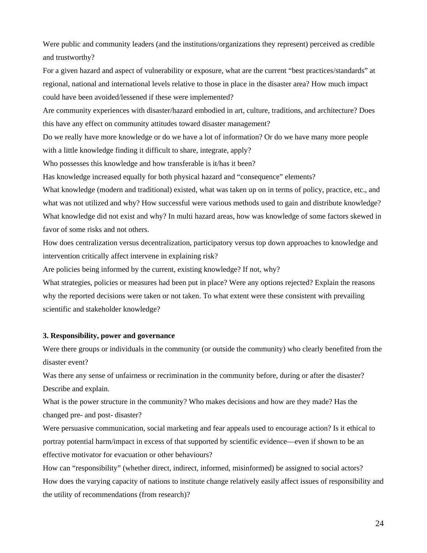Were public and community leaders (and the institutions/organizations they represent) perceived as credible and trustworthy?

For a given hazard and aspect of vulnerability or exposure, what are the current "best practices/standards" at regional, national and international levels relative to those in place in the disaster area? How much impact could have been avoided/lessened if these were implemented?

Are community experiences with disaster/hazard embodied in art, culture, traditions, and architecture? Does this have any effect on community attitudes toward disaster management?

Do we really have more knowledge or do we have a lot of information? Or do we have many more people with a little knowledge finding it difficult to share, integrate, apply?

Who possesses this knowledge and how transferable is it/has it been?

Has knowledge increased equally for both physical hazard and "consequence" elements?

What knowledge (modern and traditional) existed, what was taken up on in terms of policy, practice, etc., and what was not utilized and why? How successful were various methods used to gain and distribute knowledge? What knowledge did not exist and why? In multi hazard areas, how was knowledge of some factors skewed in favor of some risks and not others.

How does centralization versus decentralization, participatory versus top down approaches to knowledge and intervention critically affect intervene in explaining risk?

Are policies being informed by the current, existing knowledge? If not, why?

What strategies, policies or measures had been put in place? Were any options rejected? Explain the reasons why the reported decisions were taken or not taken. To what extent were these consistent with prevailing scientific and stakeholder knowledge?

#### **3. Responsibility, power and governance**

Were there groups or individuals in the community (or outside the community) who clearly benefited from the disaster event?

Was there any sense of unfairness or recrimination in the community before, during or after the disaster? Describe and explain.

What is the power structure in the community? Who makes decisions and how are they made? Has the changed pre- and post- disaster?

Were persuasive communication, social marketing and fear appeals used to encourage action? Is it ethical to portray potential harm/impact in excess of that supported by scientific evidence—even if shown to be an effective motivator for evacuation or other behaviours?

How can "responsibility" (whether direct, indirect, informed, misinformed) be assigned to social actors? How does the varying capacity of nations to institute change relatively easily affect issues of responsibility and the utility of recommendations (from research)?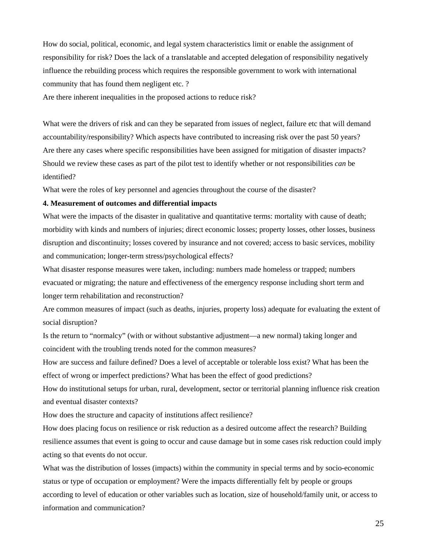How do social, political, economic, and legal system characteristics limit or enable the assignment of responsibility for risk? Does the lack of a translatable and accepted delegation of responsibility negatively influence the rebuilding process which requires the responsible government to work with international community that has found them negligent etc. ?

Are there inherent inequalities in the proposed actions to reduce risk?

What were the drivers of risk and can they be separated from issues of neglect, failure etc that will demand accountability/responsibility? Which aspects have contributed to increasing risk over the past 50 years? Are there any cases where specific responsibilities have been assigned for mitigation of disaster impacts? Should we review these cases as part of the pilot test to identify whether or not responsibilities *can* be identified?

What were the roles of key personnel and agencies throughout the course of the disaster?

#### **4. Measurement of outcomes and differential impacts**

What were the impacts of the disaster in qualitative and quantitative terms: mortality with cause of death; morbidity with kinds and numbers of injuries; direct economic losses; property losses, other losses, business disruption and discontinuity; losses covered by insurance and not covered; access to basic services, mobility and communication; longer-term stress/psychological effects?

What disaster response measures were taken, including: numbers made homeless or trapped; numbers evacuated or migrating; the nature and effectiveness of the emergency response including short term and longer term rehabilitation and reconstruction?

Are common measures of impact (such as deaths, injuries, property loss) adequate for evaluating the extent of social disruption?

Is the return to "normalcy" (with or without substantive adjustment—a new normal) taking longer and coincident with the troubling trends noted for the common measures?

How are success and failure defined? Does a level of acceptable or tolerable loss exist? What has been the effect of wrong or imperfect predictions? What has been the effect of good predictions?

How do institutional setups for urban, rural, development, sector or territorial planning influence risk creation and eventual disaster contexts?

How does the structure and capacity of institutions affect resilience?

How does placing focus on resilience or risk reduction as a desired outcome affect the research? Building resilience assumes that event is going to occur and cause damage but in some cases risk reduction could imply acting so that events do not occur.

What was the distribution of losses (impacts) within the community in special terms and by socio-economic status or type of occupation or employment? Were the impacts differentially felt by people or groups according to level of education or other variables such as location, size of household/family unit, or access to information and communication?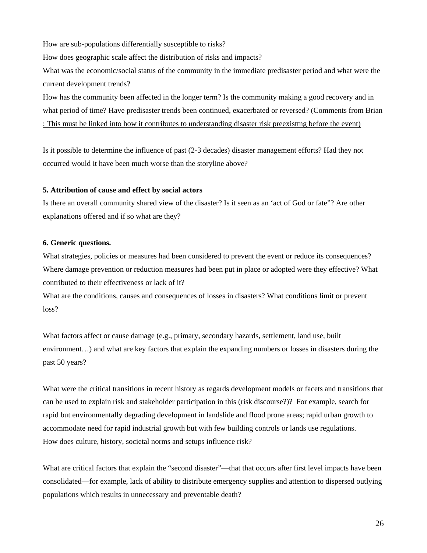How are sub-populations differentially susceptible to risks?

How does geographic scale affect the distribution of risks and impacts?

What was the economic/social status of the community in the immediate predisaster period and what were the current development trends?

How has the community been affected in the longer term? Is the community making a good recovery and in what period of time? Have predisaster trends been continued, exacerbated or reversed? (Comments from Brian : This must be linked into how it contributes to understanding disaster risk preexisttng before the event)

Is it possible to determine the influence of past (2-3 decades) disaster management efforts? Had they not occurred would it have been much worse than the storyline above?

#### **5. Attribution of cause and effect by social actors**

Is there an overall community shared view of the disaster? Is it seen as an 'act of God or fate"? Are other explanations offered and if so what are they?

#### **6. Generic questions.**

What strategies, policies or measures had been considered to prevent the event or reduce its consequences? Where damage prevention or reduction measures had been put in place or adopted were they effective? What contributed to their effectiveness or lack of it?

What are the conditions, causes and consequences of losses in disasters? What conditions limit or prevent loss?

What factors affect or cause damage (e.g., primary, secondary hazards, settlement, land use, built environment…) and what are key factors that explain the expanding numbers or losses in disasters during the past 50 years?

What were the critical transitions in recent history as regards development models or facets and transitions that can be used to explain risk and stakeholder participation in this (risk discourse?)? For example, search for rapid but environmentally degrading development in landslide and flood prone areas; rapid urban growth to accommodate need for rapid industrial growth but with few building controls or lands use regulations. How does culture, history, societal norms and setups influence risk?

What are critical factors that explain the "second disaster"—that that occurs after first level impacts have been consolidated—for example, lack of ability to distribute emergency supplies and attention to dispersed outlying populations which results in unnecessary and preventable death?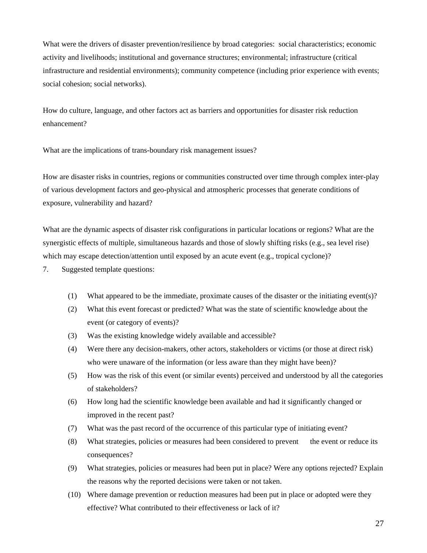What were the drivers of disaster prevention/resilience by broad categories: social characteristics; economic activity and livelihoods; institutional and governance structures; environmental; infrastructure (critical infrastructure and residential environments); community competence (including prior experience with events; social cohesion; social networks).

How do culture, language, and other factors act as barriers and opportunities for disaster risk reduction enhancement?

What are the implications of trans-boundary risk management issues?

How are disaster risks in countries, regions or communities constructed over time through complex inter-play of various development factors and geo-physical and atmospheric processes that generate conditions of exposure, vulnerability and hazard?

What are the dynamic aspects of disaster risk configurations in particular locations or regions? What are the synergistic effects of multiple, simultaneous hazards and those of slowly shifting risks (e.g., sea level rise) which may escape detection/attention until exposed by an acute event (e.g., tropical cyclone)?

- 7. Suggested template questions:
	- (1) What appeared to be the immediate, proximate causes of the disaster or the initiating event(s)?
	- (2) What this event forecast or predicted? What was the state of scientific knowledge about the event (or category of events)?
	- (3) Was the existing knowledge widely available and accessible?
	- (4) Were there any decision-makers, other actors, stakeholders or victims (or those at direct risk) who were unaware of the information (or less aware than they might have been)?
	- (5) How was the risk of this event (or similar events) perceived and understood by all the categories of stakeholders?
	- (6) How long had the scientific knowledge been available and had it significantly changed or improved in the recent past?
	- (7) What was the past record of the occurrence of this particular type of initiating event?
	- (8) What strategies, policies or measures had been considered to prevent the event or reduce its consequences?
	- (9) What strategies, policies or measures had been put in place? Were any options rejected? Explain the reasons why the reported decisions were taken or not taken.
	- (10) Where damage prevention or reduction measures had been put in place or adopted were they effective? What contributed to their effectiveness or lack of it?